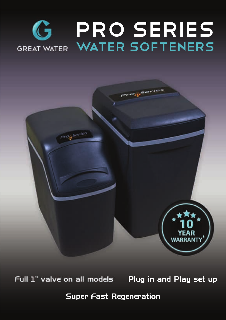# PRO SERIES GREAT WATER SOFTENERS



Full 1" valve on all models Plug in and Play set up

**\*** Super Fast Regeneration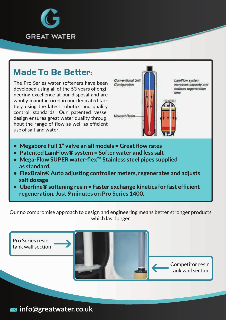

#### **Made To Be Better:**

The Pro Series water softeners have been developed using all of the 53 years of engineering excellence at our disposal and are wholly manufactured in our dedicated factory using the latest robotics and quality control standards. Our patented vessel design ensures great water quality throug hout the range of flow as well as efficient use of salt and water.



- **• Megabore Full 1" valve an all models = Great flow rates**
- **• Patented LamFlow® system = Softer water and less salt**
- **• Mega-Flow SUPER water-flex™ Stainless steel pipes supplied as standard.**
- **• FlexBrain® Auto adjusting controller meters, regenerates and adjusts salt dosage**
- **• Uberfine® softening resin = Faster exchange kinetics for fast efficient regeneration. Just 9 minutes on Pro Series 1400.**

Our no compromise approach to design and engineering means better stronger products which last longer

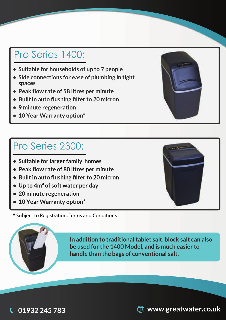### Pro Series 1400:

- **• Suitable for households of up to 7 people**
- **• Side connections for ease of plumbing in tight spaces**
- **• Peak flow rate of 58 litres per minute**
- **• Builtin auto flushing filter to 20 micron**
- **• 9 minute regeneration**
- **• 10 Year Warranty option\***

#### Pro Series 2300:

- **• Suitable for larger family homes**
- **• Peak flow rate of 80 litres per minute**
- **• Builtin auto flushing filter to 20 micron**
- **• Up to 4m³ of soft water per day**
- **• 20 minute regeneration**
- **• 10 Year Warranty option\***

\* Subject to Registration, Terms and Conditions

**In addition to traditionaltablet salt, block salt can also be used for the 1400 Model, and is much easier to handle than the bags of conventional salt.**









**01932 245 783**